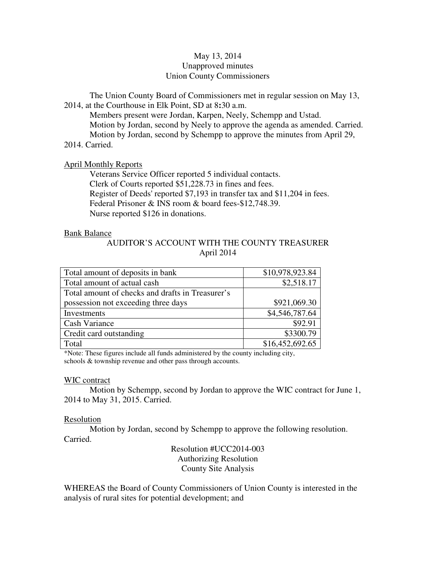# May 13, 2014 Unapproved minutes Union County Commissioners

The Union County Board of Commissioners met in regular session on May 13, 2014, at the Courthouse in Elk Point, SD at 8**:**30 a.m.

 Members present were Jordan, Karpen, Neely, Schempp and Ustad. Motion by Jordan, second by Neely to approve the agenda as amended. Carried. Motion by Jordan, second by Schempp to approve the minutes from April 29, 2014. Carried.

### April Monthly Reports

 Veterans Service Officer reported 5 individual contacts. Clerk of Courts reported \$51,228.73 in fines and fees. Register of Deeds' reported \$7,193 in transfer tax and \$11,204 in fees. Federal Prisoner & INS room & board fees-\$12,748.39. Nurse reported \$126 in donations.

### Bank Balance

# AUDITOR'S ACCOUNT WITH THE COUNTY TREASURER April 2014

| Total amount of deposits in bank                 | \$10,978,923.84 |
|--------------------------------------------------|-----------------|
| Total amount of actual cash                      | \$2,518.17      |
| Total amount of checks and drafts in Treasurer's |                 |
| possession not exceeding three days              | \$921,069.30    |
| Investments                                      | \$4,546,787.64  |
| Cash Variance                                    | \$92.91         |
| Credit card outstanding                          | \$3300.79       |
| Total                                            | \$16,452,692.65 |

\*Note: These figures include all funds administered by the county including city, schools & township revenue and other pass through accounts.

### WIC contract

 Motion by Schempp, second by Jordan to approve the WIC contract for June 1, 2014 to May 31, 2015. Carried.

### Resolution

 Motion by Jordan, second by Schempp to approve the following resolution. Carried.

> Resolution #UCC2014-003 Authorizing Resolution County Site Analysis

WHEREAS the Board of County Commissioners of Union County is interested in the analysis of rural sites for potential development; and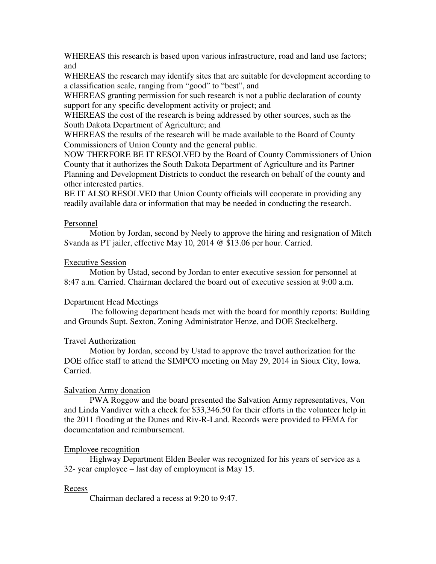WHEREAS this research is based upon various infrastructure, road and land use factors; and

WHEREAS the research may identify sites that are suitable for development according to a classification scale, ranging from "good" to "best", and

WHEREAS granting permission for such research is not a public declaration of county support for any specific development activity or project; and

WHEREAS the cost of the research is being addressed by other sources, such as the South Dakota Department of Agriculture; and

WHEREAS the results of the research will be made available to the Board of County Commissioners of Union County and the general public.

NOW THERFORE BE IT RESOLVED by the Board of County Commissioners of Union County that it authorizes the South Dakota Department of Agriculture and its Partner Planning and Development Districts to conduct the research on behalf of the county and other interested parties.

BE IT ALSO RESOLVED that Union County officials will cooperate in providing any readily available data or information that may be needed in conducting the research.

# Personnel

 Motion by Jordan, second by Neely to approve the hiring and resignation of Mitch Svanda as PT jailer, effective May 10, 2014 @ \$13.06 per hour. Carried.

# Executive Session

 Motion by Ustad, second by Jordan to enter executive session for personnel at 8:47 a.m. Carried. Chairman declared the board out of executive session at 9:00 a.m.

# Department Head Meetings

 The following department heads met with the board for monthly reports: Building and Grounds Supt. Sexton, Zoning Administrator Henze, and DOE Steckelberg.

# Travel Authorization

 Motion by Jordan, second by Ustad to approve the travel authorization for the DOE office staff to attend the SIMPCO meeting on May 29, 2014 in Sioux City, Iowa. Carried.

# Salvation Army donation

 PWA Roggow and the board presented the Salvation Army representatives, Von and Linda Vandiver with a check for \$33,346.50 for their efforts in the volunteer help in the 2011 flooding at the Dunes and Riv-R-Land. Records were provided to FEMA for documentation and reimbursement.

# Employee recognition

 Highway Department Elden Beeler was recognized for his years of service as a 32- year employee – last day of employment is May 15.

# Recess

Chairman declared a recess at 9:20 to 9:47.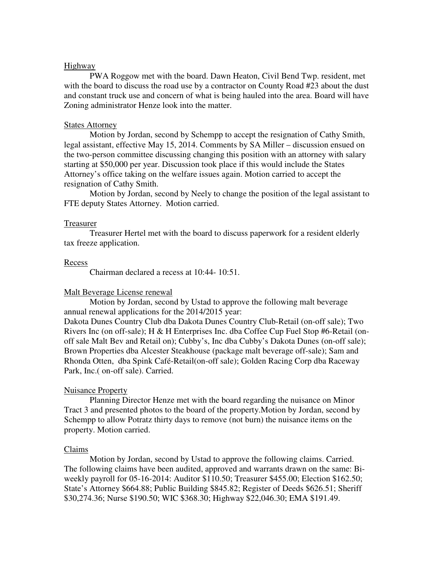### Highway

 PWA Roggow met with the board. Dawn Heaton, Civil Bend Twp. resident, met with the board to discuss the road use by a contractor on County Road #23 about the dust and constant truck use and concern of what is being hauled into the area. Board will have Zoning administrator Henze look into the matter.

### States Attorney

 Motion by Jordan, second by Schempp to accept the resignation of Cathy Smith, legal assistant, effective May 15, 2014. Comments by SA Miller – discussion ensued on the two-person committee discussing changing this position with an attorney with salary starting at \$50,000 per year. Discussion took place if this would include the States Attorney's office taking on the welfare issues again. Motion carried to accept the resignation of Cathy Smith.

 Motion by Jordan, second by Neely to change the position of the legal assistant to FTE deputy States Attorney. Motion carried.

#### Treasurer

 Treasurer Hertel met with the board to discuss paperwork for a resident elderly tax freeze application.

#### Recess

Chairman declared a recess at 10:44- 10:51.

#### Malt Beverage License renewal

 Motion by Jordan, second by Ustad to approve the following malt beverage annual renewal applications for the 2014/2015 year:

Dakota Dunes Country Club dba Dakota Dunes Country Club-Retail (on-off sale); Two Rivers Inc (on off-sale); H & H Enterprises Inc. dba Coffee Cup Fuel Stop #6-Retail (onoff sale Malt Bev and Retail on); Cubby's, Inc dba Cubby's Dakota Dunes (on-off sale); Brown Properties dba Alcester Steakhouse (package malt beverage off-sale); Sam and Rhonda Otten, dba Spink Café-Retail(on-off sale); Golden Racing Corp dba Raceway Park, Inc.( on-off sale). Carried.

#### Nuisance Property

 Planning Director Henze met with the board regarding the nuisance on Minor Tract 3 and presented photos to the board of the property.Motion by Jordan, second by Schempp to allow Potratz thirty days to remove (not burn) the nuisance items on the property. Motion carried.

#### Claims

 Motion by Jordan, second by Ustad to approve the following claims. Carried. The following claims have been audited, approved and warrants drawn on the same: Biweekly payroll for 05-16-2014: Auditor \$110.50; Treasurer \$455.00; Election \$162.50; State's Attorney \$664.88; Public Building \$845.82; Register of Deeds \$626.51; Sheriff \$30,274.36; Nurse \$190.50; WIC \$368.30; Highway \$22,046.30; EMA \$191.49.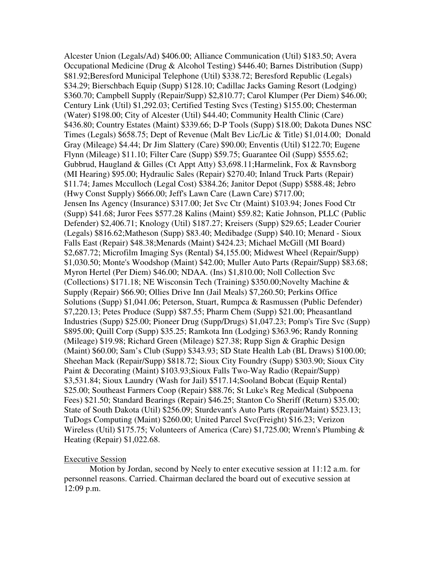Alcester Union (Legals/Ad) \$406.00; Alliance Communication (Util) \$183.50; Avera Occupational Medicine (Drug & Alcohol Testing) \$446.40; Barnes Distribution (Supp) \$81.92;Beresford Municipal Telephone (Util) \$338.72; Beresford Republic (Legals) \$34.29; Bierschbach Equip (Supp) \$128.10; Cadillac Jacks Gaming Resort (Lodging) \$360.70; Campbell Supply (Repair/Supp) \$2,810.77; Carol Klumper (Per Diem) \$46.00; Century Link (Util) \$1,292.03; Certified Testing Svcs (Testing) \$155.00; Chesterman (Water) \$198.00; City of Alcester (Util) \$44.40; Community Health Clinic (Care) \$436.80; Country Estates (Maint) \$339.66; D-P Tools (Supp) \$18.00; Dakota Dunes NSC Times (Legals) \$658.75; Dept of Revenue (Malt Bev Lic/Lic & Title) \$1,014.00; Donald Gray (Mileage) \$4.44; Dr Jim Slattery (Care) \$90.00; Enventis (Util) \$122.70; Eugene Flynn (Mileage) \$11.10; Filter Care (Supp) \$59.75; Guarantee Oil (Supp) \$555.62; Gubbrud, Haugland & Gilles (Ct Appt Atty) \$3,698.11;Harmelink, Fox & Ravnsborg (MI Hearing) \$95.00; Hydraulic Sales (Repair) \$270.40; Inland Truck Parts (Repair) \$11.74; James Mcculloch (Legal Cost) \$384.26; Janitor Depot (Supp) \$588.48; Jebro (Hwy Const Supply) \$666.00; Jeff's Lawn Care (Lawn Care) \$717.00; Jensen Ins Agency (Insurance) \$317.00; Jet Svc Ctr (Maint) \$103.94; Jones Food Ctr (Supp) \$41.68; Juror Fees \$577.28 Kalins (Maint) \$59.82; Katie Johnson, PLLC (Public Defender) \$2,406.71; Knology (Util) \$187.27; Kreisers (Supp) \$29.65; Leader Courier (Legals) \$816.62;Matheson (Supp) \$83.40; Medibadge (Supp) \$40.10; Menard - Sioux Falls East (Repair) \$48.38;Menards (Maint) \$424.23; Michael McGill (MI Board) \$2,687.72; Microfilm Imaging Sys (Rental) \$4,155.00; Midwest Wheel (Repair/Supp) \$1,030.50; Monte's Woodshop (Maint) \$42.00; Muller Auto Parts (Repair/Supp) \$83.68; Myron Hertel (Per Diem) \$46.00; NDAA. (Ins) \$1,810.00; Noll Collection Svc (Collections) \$171.18; NE Wisconsin Tech (Training) \$350.00;Novelty Machine & Supply (Repair) \$66.90; Ollies Drive Inn (Jail Meals) \$7,260.50; Perkins Office Solutions (Supp) \$1,041.06; Peterson, Stuart, Rumpca & Rasmussen (Public Defender) \$7,220.13; Petes Produce (Supp) \$87.55; Pharm Chem (Supp) \$21.00; Pheasantland Industries (Supp) \$25.00; Pioneer Drug (Supp/Drugs) \$1,047.23; Pomp's Tire Svc (Supp) \$895.00; Quill Corp (Supp) \$35.25; Ramkota Inn (Lodging) \$363.96; Randy Ronning (Mileage) \$19.98; Richard Green (Mileage) \$27.38; Rupp Sign & Graphic Design (Maint) \$60.00; Sam's Club (Supp) \$343.93; SD State Health Lab (BL Draws) \$100.00; Sheehan Mack (Repair/Supp) \$818.72; Sioux City Foundry (Supp) \$303.90; Sioux City Paint & Decorating (Maint) \$103.93;Sioux Falls Two-Way Radio (Repair/Supp) \$3,531.84; Sioux Laundry (Wash for Jail) \$517.14;Sooland Bobcat (Equip Rental) \$25.00; Southeast Farmers Coop (Repair) \$88.76; St Luke's Reg Medical (Subpoena Fees) \$21.50; Standard Bearings (Repair) \$46.25; Stanton Co Sheriff (Return) \$35.00; State of South Dakota (Util) \$256.09; Sturdevant's Auto Parts (Repair/Maint) \$523.13; TuDogs Computing (Maint) \$260.00; United Parcel Svc(Freight) \$16.23; Verizon Wireless (Util) \$175.75; Volunteers of America (Care) \$1,725.00; Wrenn's Plumbing & Heating (Repair) \$1,022.68.

### Executive Session

 Motion by Jordan, second by Neely to enter executive session at 11:12 a.m. for personnel reasons. Carried. Chairman declared the board out of executive session at 12:09 p.m.